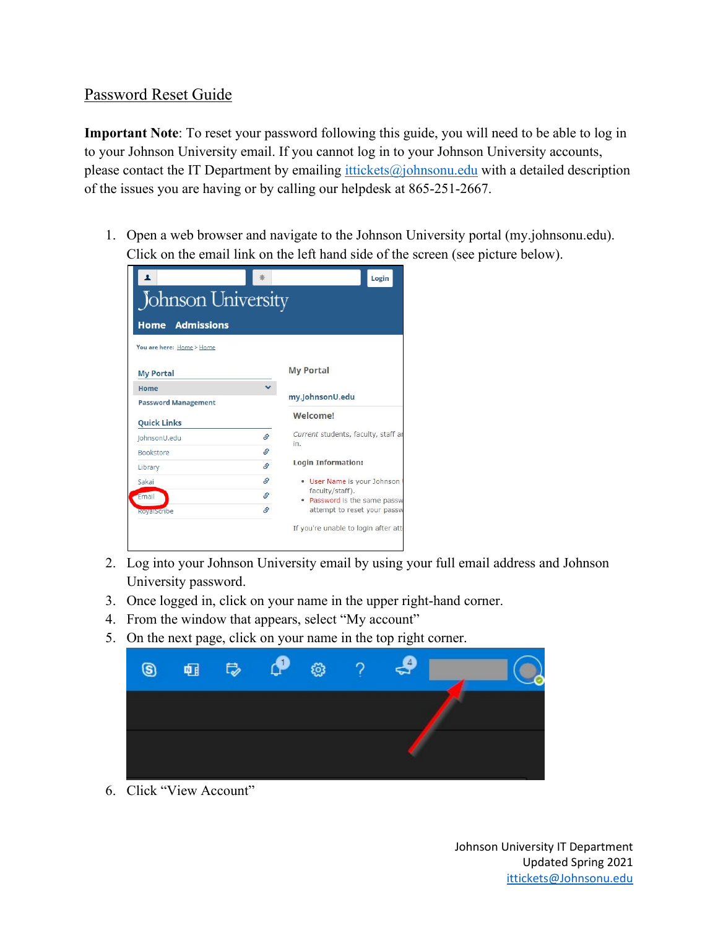## Password Reset Guide

**Important Note**: To reset your password following this guide, you will need to be able to log in to your Johnson University email. If you cannot log in to your Johnson University accounts, please contact the IT Department by emailing  $\frac{it tickets(\partial_i)$  ohnsonu.edu with a detailed description of the issues you are having or by calling our helpdesk at 865-251-2667.

1. Open a web browser and navigate to the Johnson University portal (my.johnsonu.edu). Click on the email link on the left hand side of the screen (see picture below).

|                            |          | Login                                           |
|----------------------------|----------|-------------------------------------------------|
| Johnson University         |          |                                                 |
| <b>Home Admissions</b>     |          |                                                 |
| You are here: Home > Home  |          |                                                 |
| <b>My Portal</b>           |          | <b>My Portal</b>                                |
| Home                       |          |                                                 |
| <b>Password Management</b> |          | my.JohnsonU.edu                                 |
| <b>Quick Links</b>         |          | Welcome!                                        |
| JohnsonU.edu               | \$       | Current students, faculty, staff ar             |
| <b>Bookstore</b>           | <b>S</b> | in.                                             |
| Library                    | S.       | <b>Login Information:</b>                       |
| Sakai                      | Ŝ,       | • User Name is your Johnson                     |
| Email                      | S.       | faculty/staff).<br>. Password is the same passw |
|                            | S.       | attempt to reset your passw                     |
| <b>RoyalScribe</b>         |          |                                                 |

- 2. Log into your Johnson University email by using your full email address and Johnson University password.
- 3. Once logged in, click on your name in the upper right-hand corner.
- 4. From the window that appears, select "My account"
- 5. On the next page, click on your name in the top right corner.



6. Click "View Account"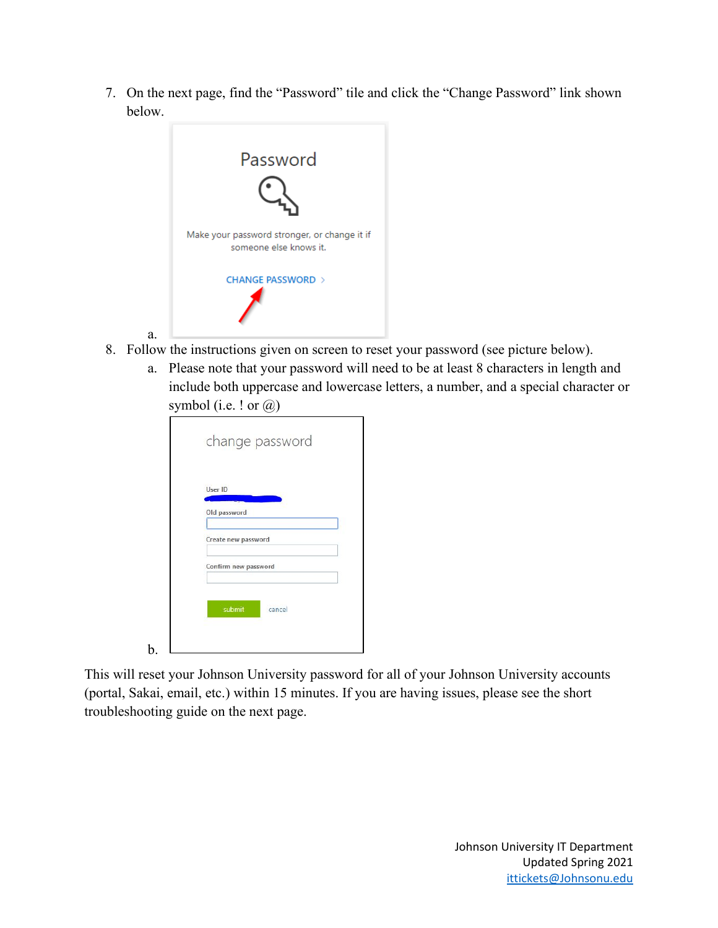7. On the next page, find the "Password" tile and click the "Change Password" link shown below.



a.

b.

- 8. Follow the instructions given on screen to reset your password (see picture below).
	- a. Please note that your password will need to be at least 8 characters in length and include both uppercase and lowercase letters, a number, and a special character or symbol (i.e. ! or  $\omega$ )

| User ID              |        |  |
|----------------------|--------|--|
| Old password         |        |  |
| Create new password  |        |  |
| Confirm new password |        |  |
|                      |        |  |
| submit               | cancel |  |

This will reset your Johnson University password for all of your Johnson University accounts (portal, Sakai, email, etc.) within 15 minutes. If you are having issues, please see the short troubleshooting guide on the next page.